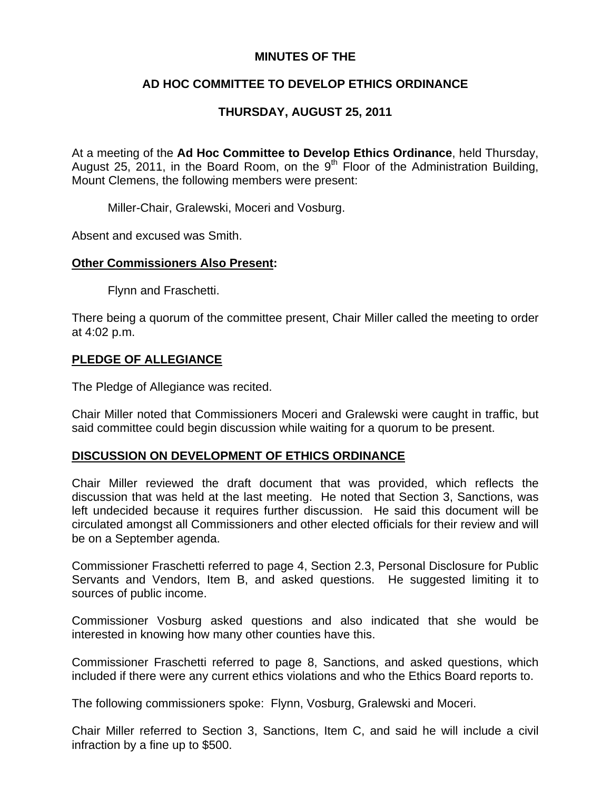## **MINUTES OF THE**

# **AD HOC COMMITTEE TO DEVELOP ETHICS ORDINANCE**

# **THURSDAY, AUGUST 25, 2011**

At a meeting of the **Ad Hoc Committee to Develop Ethics Ordinance**, held Thursday, August 25, 2011, in the Board Room, on the  $9<sup>th</sup>$  Floor of the Administration Building, Mount Clemens, the following members were present:

Miller-Chair, Gralewski, Moceri and Vosburg.

Absent and excused was Smith.

#### **Other Commissioners Also Present:**

Flynn and Fraschetti.

There being a quorum of the committee present, Chair Miller called the meeting to order at 4:02 p.m.

### **PLEDGE OF ALLEGIANCE**

The Pledge of Allegiance was recited.

Chair Miller noted that Commissioners Moceri and Gralewski were caught in traffic, but said committee could begin discussion while waiting for a quorum to be present.

#### **DISCUSSION ON DEVELOPMENT OF ETHICS ORDINANCE**

Chair Miller reviewed the draft document that was provided, which reflects the discussion that was held at the last meeting. He noted that Section 3, Sanctions, was left undecided because it requires further discussion. He said this document will be circulated amongst all Commissioners and other elected officials for their review and will be on a September agenda.

Commissioner Fraschetti referred to page 4, Section 2.3, Personal Disclosure for Public Servants and Vendors, Item B, and asked questions. He suggested limiting it to sources of public income.

Commissioner Vosburg asked questions and also indicated that she would be interested in knowing how many other counties have this.

Commissioner Fraschetti referred to page 8, Sanctions, and asked questions, which included if there were any current ethics violations and who the Ethics Board reports to.

The following commissioners spoke: Flynn, Vosburg, Gralewski and Moceri.

Chair Miller referred to Section 3, Sanctions, Item C, and said he will include a civil infraction by a fine up to \$500.